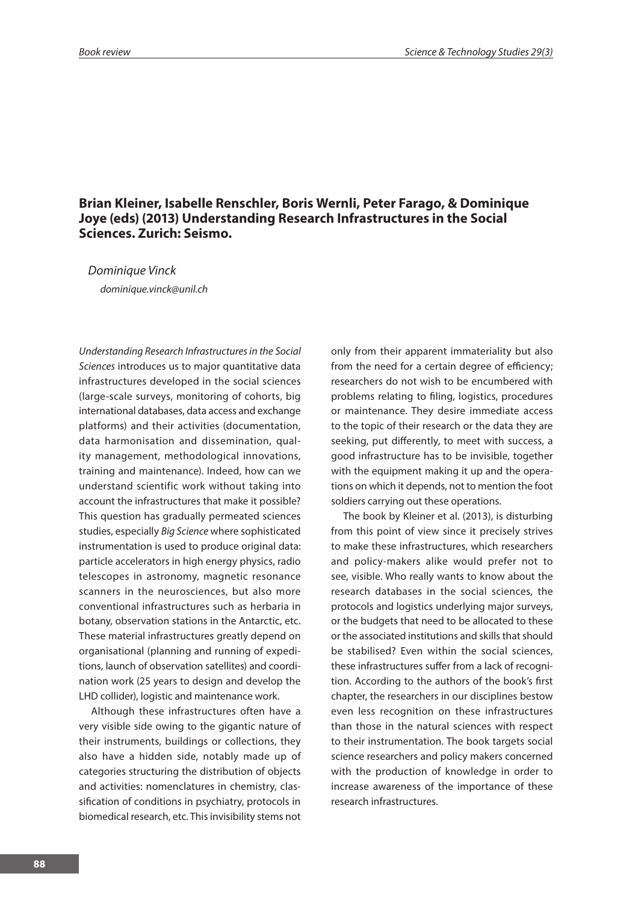## **Brian Kleiner, Isabelle Renschler, Boris Wernli, Peter Farago, & Dominique Joye (eds) (2013) Understanding Research Infrastructures in the Social Sciences. Zurich: Seismo.**

*Dominique Vinck dominique.vinck@unil.ch*

*Understanding Research Infrastructures in the Social Sciences* introduces us to major quantitative data infrastructures developed in the social sciences (large-scale surveys, monitoring of cohorts, big international databases, data access and exchange platforms) and their activities (documentation, data harmonisation and dissemination, quality management, methodological innovations, training and maintenance). Indeed, how can we understand scientific work without taking into account the infrastructures that make it possible? This question has gradually permeated sciences studies, especially *Big Science* where sophisticated instrumentation is used to produce original data: particle accelerators in high energy physics, radio telescopes in astronomy, magnetic resonance scanners in the neurosciences, but also more conventional infrastructures such as herbaria in botany, observation stations in the Antarctic, etc. These material infrastructures greatly depend on organisational (planning and running of expeditions, launch of observation satellites) and coordination work (25 years to design and develop the LHD collider), logistic and maintenance work.

Although these infrastructures often have a very visible side owing to the gigantic nature of their instruments, buildings or collections, they also have a hidden side, notably made up of categories structuring the distribution of objects and activities: nomenclatures in chemistry, classification of conditions in psychiatry, protocols in biomedical research, etc. This invisibility stems not

only from their apparent immateriality but also from the need for a certain degree of efficiency; researchers do not wish to be encumbered with problems relating to filing, logistics, procedures or maintenance. They desire immediate access to the topic of their research or the data they are seeking, put differently, to meet with success, a good infrastructure has to be invisible, together with the equipment making it up and the operations on which it depends, not to mention the foot soldiers carrying out these operations.

The book by Kleiner et al. (2013), is disturbing from this point of view since it precisely strives to make these infrastructures, which researchers and policy-makers alike would prefer not to see, visible. Who really wants to know about the research databases in the social sciences, the protocols and logistics underlying major surveys, or the budgets that need to be allocated to these or the associated institutions and skills that should be stabilised? Even within the social sciences, these infrastructures suffer from a lack of recognition. According to the authors of the book's first chapter, the researchers in our disciplines bestow even less recognition on these infrastructures than those in the natural sciences with respect to their instrumentation. The book targets social science researchers and policy makers concerned with the production of knowledge in order to increase awareness of the importance of these research infrastructures.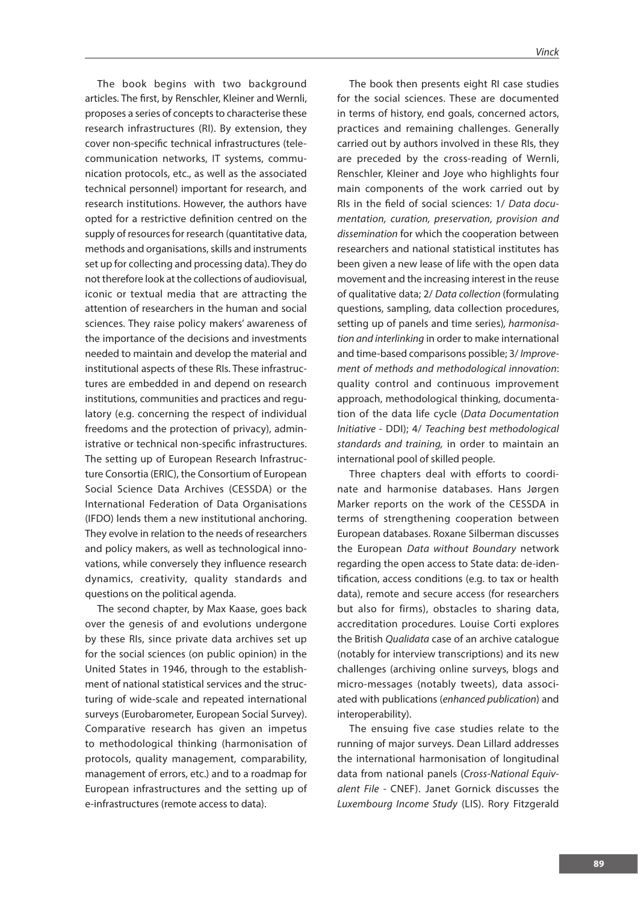The book begins with two background articles. The first, by Renschler, Kleiner and Wernli, proposes a series of concepts to characterise these research infrastructures (RI). By extension, they cover non-specific technical infrastructures (telecommunication networks, IT systems, communication protocols, etc., as well as the associated technical personnel) important for research, and research institutions. However, the authors have opted for a restrictive definition centred on the supply of resources for research (quantitative data, methods and organisations, skills and instruments set up for collecting and processing data). They do not therefore look at the collections of audiovisual, iconic or textual media that are attracting the attention of researchers in the human and social sciences. They raise policy makers' awareness of the importance of the decisions and investments needed to maintain and develop the material and institutional aspects of these RIs. These infrastructures are embedded in and depend on research institutions, communities and practices and regulatory (e.g. concerning the respect of individual freedoms and the protection of privacy), administrative or technical non-specific infrastructures. The setting up of European Research Infrastructure Consortia (ERIC), the Consortium of European Social Science Data Archives (CESSDA) or the International Federation of Data Organisations (IFDO) lends them a new institutional anchoring. They evolve in relation to the needs of researchers and policy makers, as well as technological innovations, while conversely they influence research dynamics, creativity, quality standards and questions on the political agenda.

The second chapter, by Max Kaase, goes back over the genesis of and evolutions undergone by these RIs, since private data archives set up for the social sciences (on public opinion) in the United States in 1946, through to the establishment of national statistical services and the structuring of wide-scale and repeated international surveys (Eurobarometer, European Social Survey). Comparative research has given an impetus to methodological thinking (harmonisation of protocols, quality management, comparability, management of errors, etc.) and to a roadmap for European infrastructures and the setting up of e-infrastructures (remote access to data).

The book then presents eight RI case studies for the social sciences. These are documented in terms of history, end goals, concerned actors, practices and remaining challenges. Generally carried out by authors involved in these RIs, they are preceded by the cross-reading of Wernli, Renschler, Kleiner and Joye who highlights four main components of the work carried out by RIs in the field of social sciences: 1/ Data docu*mentation, curation, preservation, provision and dissemination* for which the cooperation between researchers and national statistical institutes has been given a new lease of life with the open data movement and the increasing interest in the reuse of qualitative data; 2/ *Data collection* (formulating questions, sampling, data collection procedures, setting up of panels and time series)*, harmonisation and interlinking* in order to make international and time-based comparisons possible; 3/ *Improvement of methods and methodological innovation*: quality control and continuous improvement approach, methodological thinking, documentation of the data life cycle (*Data Documentation Initiative* - DDI); 4/ *Teaching best methodological standards and training,* in order to maintain an international pool of skilled people.

Three chapters deal with efforts to coordinate and harmonise databases. Hans Jørgen Marker reports on the work of the CESSDA in terms of strengthening cooperation between European databases. Roxane Silberman discusses the European *Data without Boundary* network regarding the open access to State data: de-identification, access conditions (e.g. to tax or health data), remote and secure access (for researchers but also for firms), obstacles to sharing data, accreditation procedures. Louise Corti explores the British *Qualidata* case of an archive catalogue (notably for interview transcriptions) and its new challenges (archiving online surveys, blogs and micro-messages (notably tweets), data associated with publications (*enhanced publication*) and interoperability).

The ensuing five case studies relate to the running of major surveys. Dean Lillard addresses the international harmonisation of longitudinal data from national panels (*Cross-National Equivalent File -* CNEF). Janet Gornick discusses the *Luxembourg Income Study* (LIS). Rory Fitzgerald